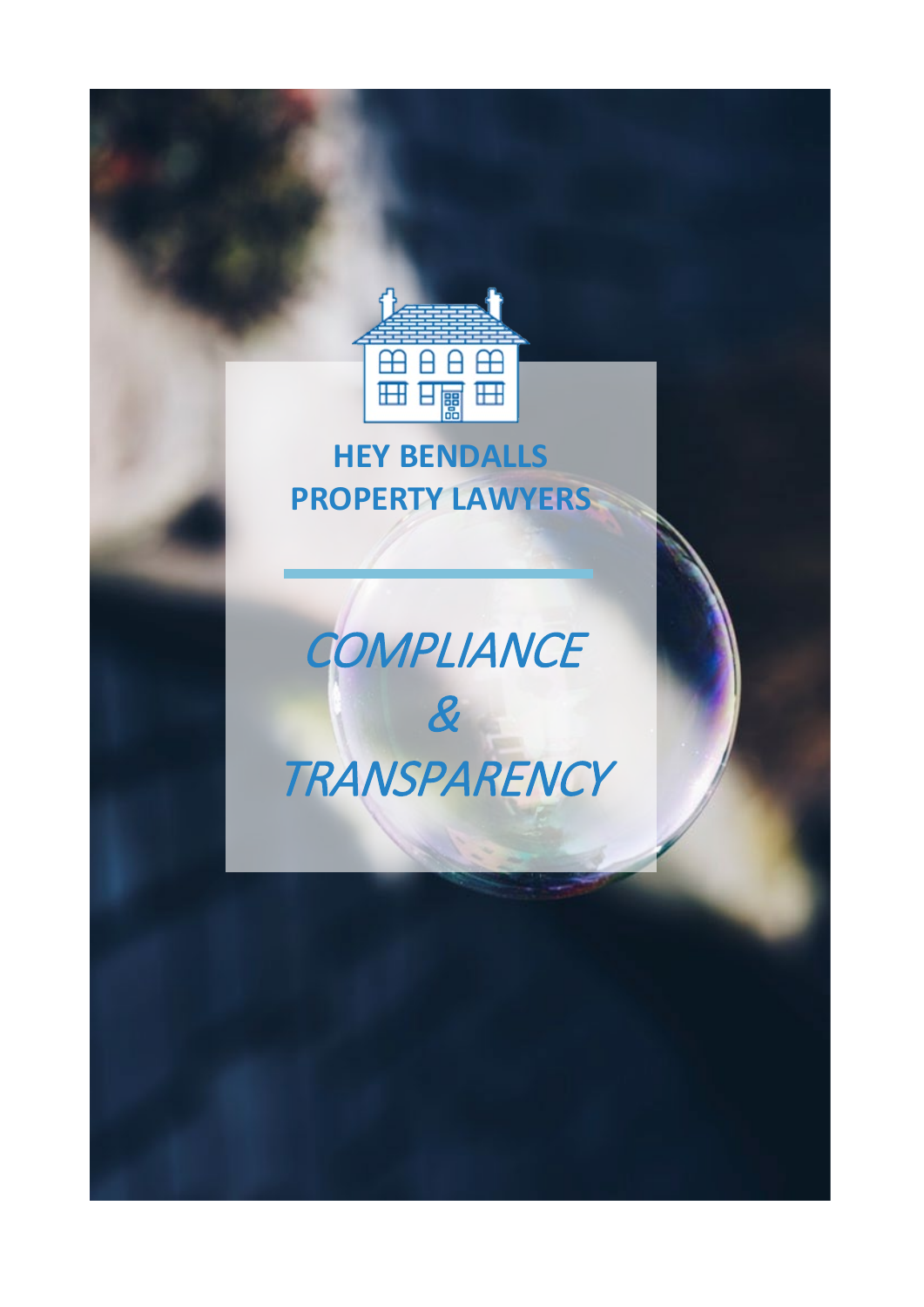

## **HEY BENDALLS PROPERTY LAWYERS**

# **COMPLIANCE** & **TRANSPARENCY**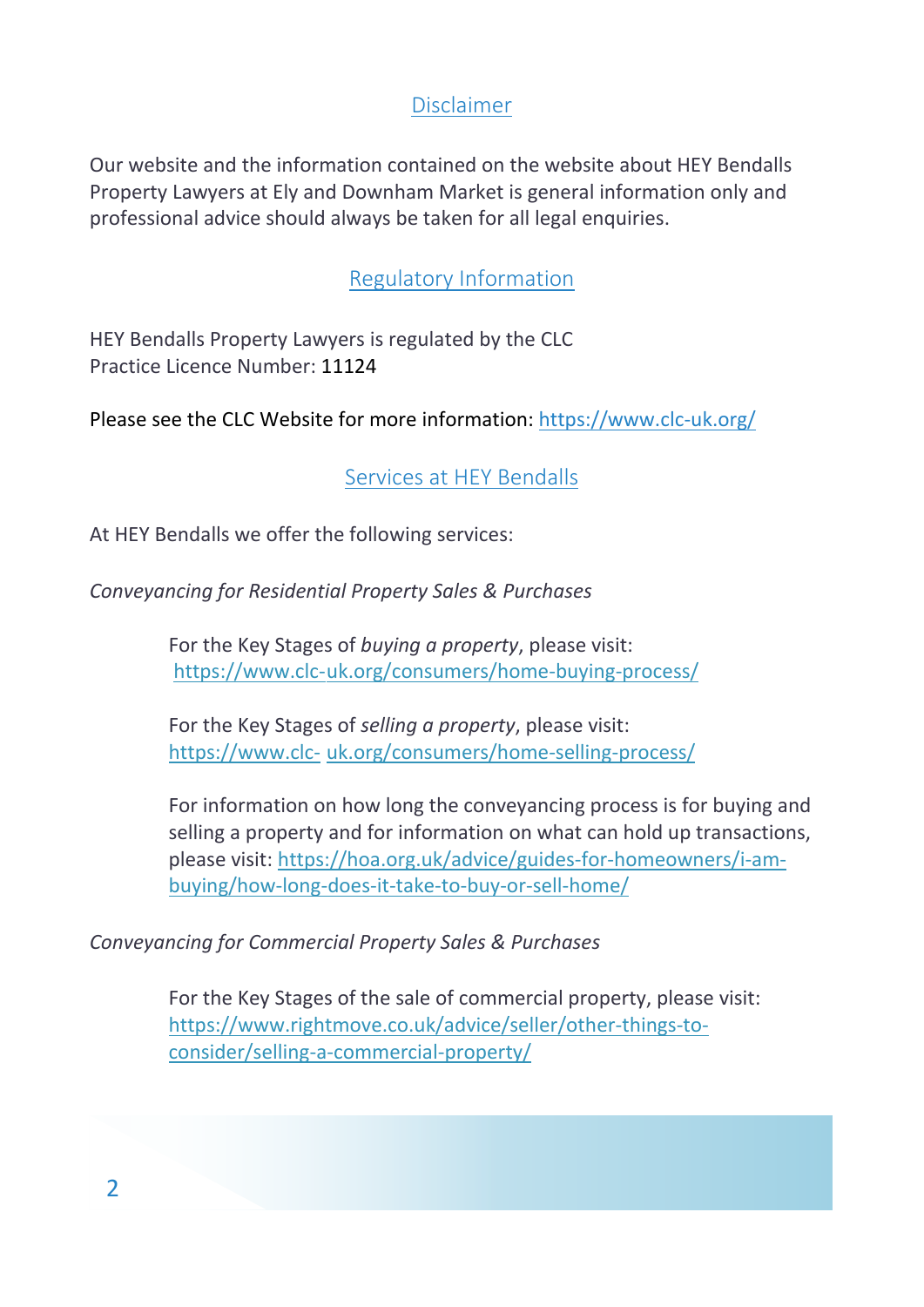#### Disclaimer

Our website and the information contained on the website about HEY Bendalls Property Lawyers at Ely and Downham Market is general information only and professional advice should always be taken for all legal enquiries.

#### Regulatory Information

HEY Bendalls Property Lawyers is regulated by the CLC Practice Licence Number: 11124

Please see the CLC Website for more information[: https://www.clc-uk.org/](https://www.clc-uk.org/)

Services at HEY Bendalls

At HEY Bendalls we offer the following services:

*Conveyancing for Residential Property Sales & Purchases* 

For the Key Stages of *buying a property*, please visit: https://www.clc-uk.org/consumers/home-buying-process/

For the Key Stages of *selling a property*, please visit: https://www.clc- uk.org/consumers/home-selling-process/

For information on how long the conveyancing process is for buying and selling a property and for information on what can hold up transactions, please visit[: https://hoa.org.uk/advice/guides-for-homeowners/i-am](https://hoa.org.uk/advice/guides-for-homeowners/i-am-%09buying/how-long-does-it-take-to-buy-or-sell-home/)[buying/how-long-does-it-take-to-buy-or-sell-home/](https://hoa.org.uk/advice/guides-for-homeowners/i-am-%09buying/how-long-does-it-take-to-buy-or-sell-home/)

*Conveyancing for Commercial Property Sales & Purchases* 

For the Key Stages of the sale of commercial property, please visit: [https://www.rightmove.co.uk/advice/seller/other-things-to](https://www.rightmove.co.uk/advice/seller/other-things-to-%09consider/selling-a-commercial-property/)[consider/selling-a-commercial-property/](https://www.rightmove.co.uk/advice/seller/other-things-to-%09consider/selling-a-commercial-property/)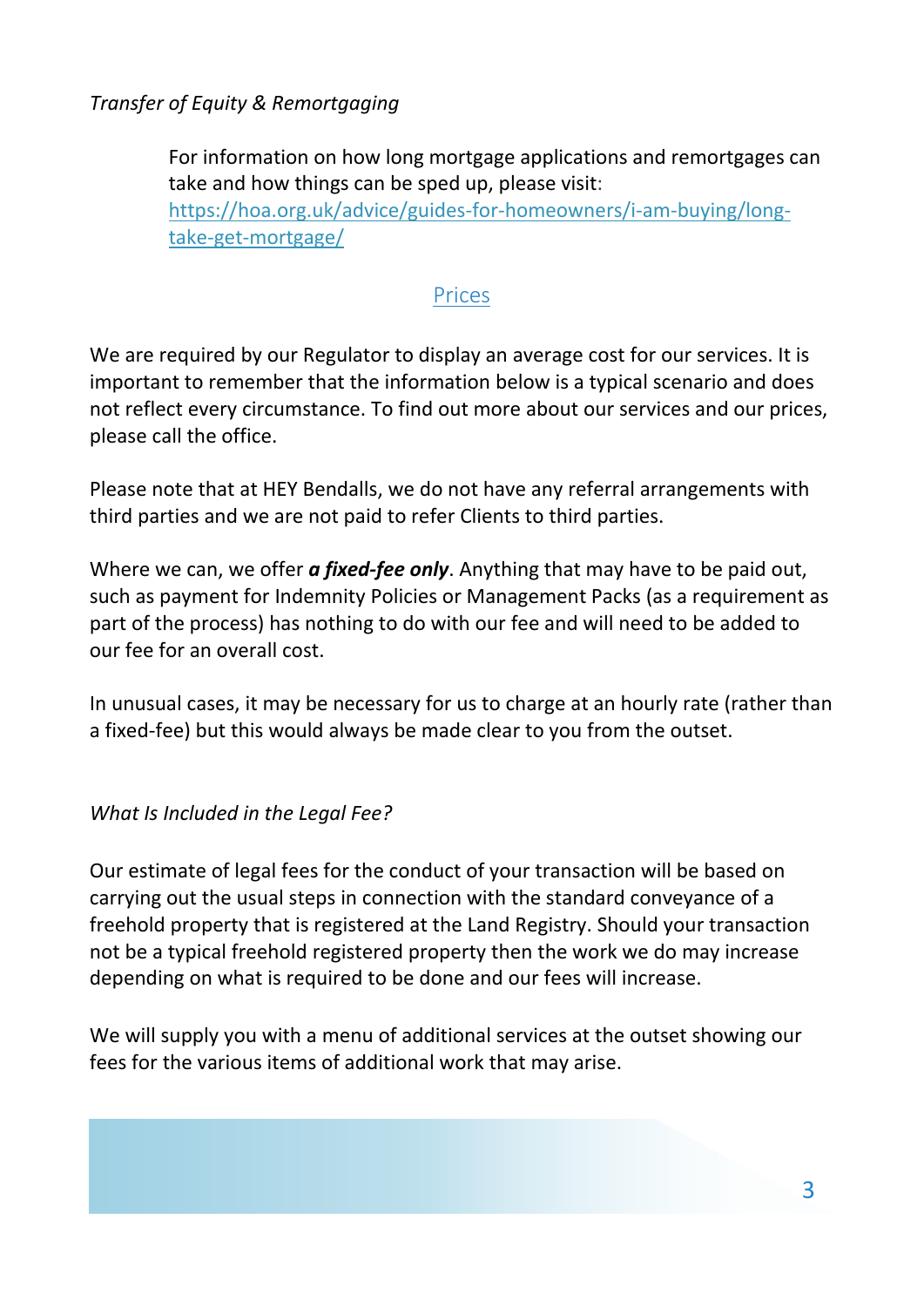*Transfer of Equity & Remortgaging*

For information on how long mortgage applications and remortgages can take and how things can be sped up, please visit: [https://hoa.org.uk/advice/guides-for-homeowners/i-am-buying/long](https://hoa.org.uk/advice/guides-for-homeowners/i-am-buying/long-%09take-get-mortgage/)[take-get-mortgage/](https://hoa.org.uk/advice/guides-for-homeowners/i-am-buying/long-%09take-get-mortgage/)

#### Prices

We are required by our Regulator to display an average cost for our services. It is important to remember that the information below is a typical scenario and does not reflect every circumstance. To find out more about our services and our prices, please call the office.

Please note that at HEY Bendalls, we do not have any referral arrangements with third parties and we are not paid to refer Clients to third parties.

Where we can, we offer *a fixed-fee only*. Anything that may have to be paid out, such as payment for Indemnity Policies or Management Packs (as a requirement as part of the process) has nothing to do with our fee and will need to be added to our fee for an overall cost.

In unusual cases, it may be necessary for us to charge at an hourly rate (rather than a fixed-fee) but this would always be made clear to you from the outset.

*What Is Included in the Legal Fee?*

Our estimate of legal fees for the conduct of your transaction will be based on carrying out the usual steps in connection with the standard conveyance of a freehold property that is registered at the Land Registry. Should your transaction not be a typical freehold registered property then the work we do may increase depending on what is required to be done and our fees will increase.

We will supply you with a menu of additional services at the outset showing our fees for the various items of additional work that may arise.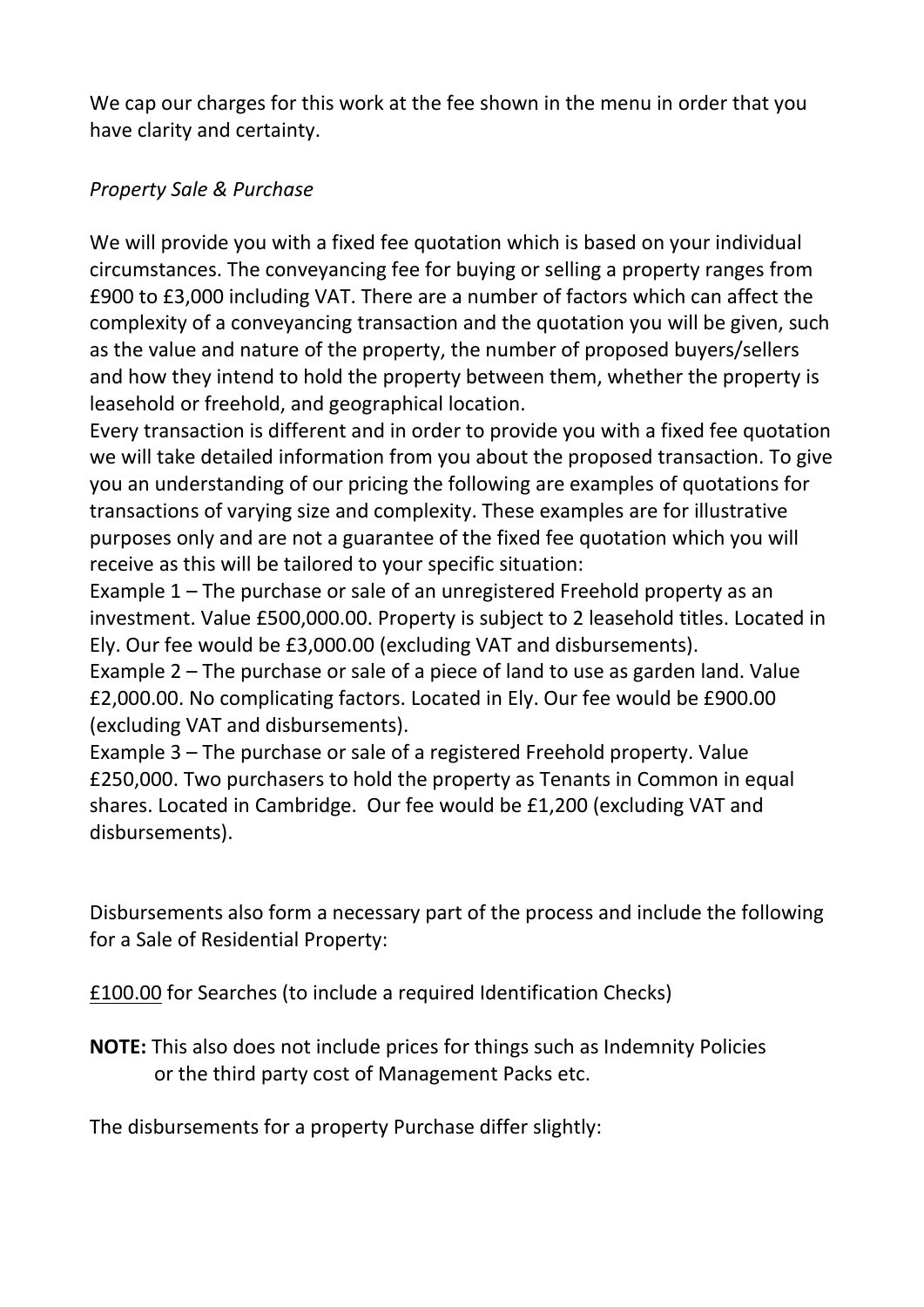We cap our charges for this work at the fee shown in the menu in order that you have clarity and certainty.

#### *Property Sale & Purchase*

We will provide you with a fixed fee quotation which is based on your individual circumstances. The conveyancing fee for buying or selling a property ranges from £900 to £3,000 including VAT. There are a number of factors which can affect the complexity of a conveyancing transaction and the quotation you will be given, such as the value and nature of the property, the number of proposed buyers/sellers and how they intend to hold the property between them, whether the property is leasehold or freehold, and geographical location.

Every transaction is different and in order to provide you with a fixed fee quotation we will take detailed information from you about the proposed transaction. To give you an understanding of our pricing the following are examples of quotations for transactions of varying size and complexity. These examples are for illustrative purposes only and are not a guarantee of the fixed fee quotation which you will receive as this will be tailored to your specific situation:

Example 1 – The purchase or sale of an unregistered Freehold property as an investment. Value £500,000.00. Property is subject to 2 leasehold titles. Located in Ely. Our fee would be £3,000.00 (excluding VAT and disbursements).

Example 2 – The purchase or sale of a piece of land to use as garden land. Value £2,000.00. No complicating factors. Located in Ely. Our fee would be £900.00 (excluding VAT and disbursements).

Example 3 – The purchase or sale of a registered Freehold property. Value £250,000. Two purchasers to hold the property as Tenants in Common in equal shares. Located in Cambridge. Our fee would be £1,200 (excluding VAT and disbursements).

Disbursements also form a necessary part of the process and include the following for a Sale of Residential Property:

£100.00 for Searches (to include a required Identification Checks)

**NOTE:** This also does not include prices for things such as Indemnity Policies or the third party cost of Management Packs etc.

The disbursements for a property Purchase differ slightly: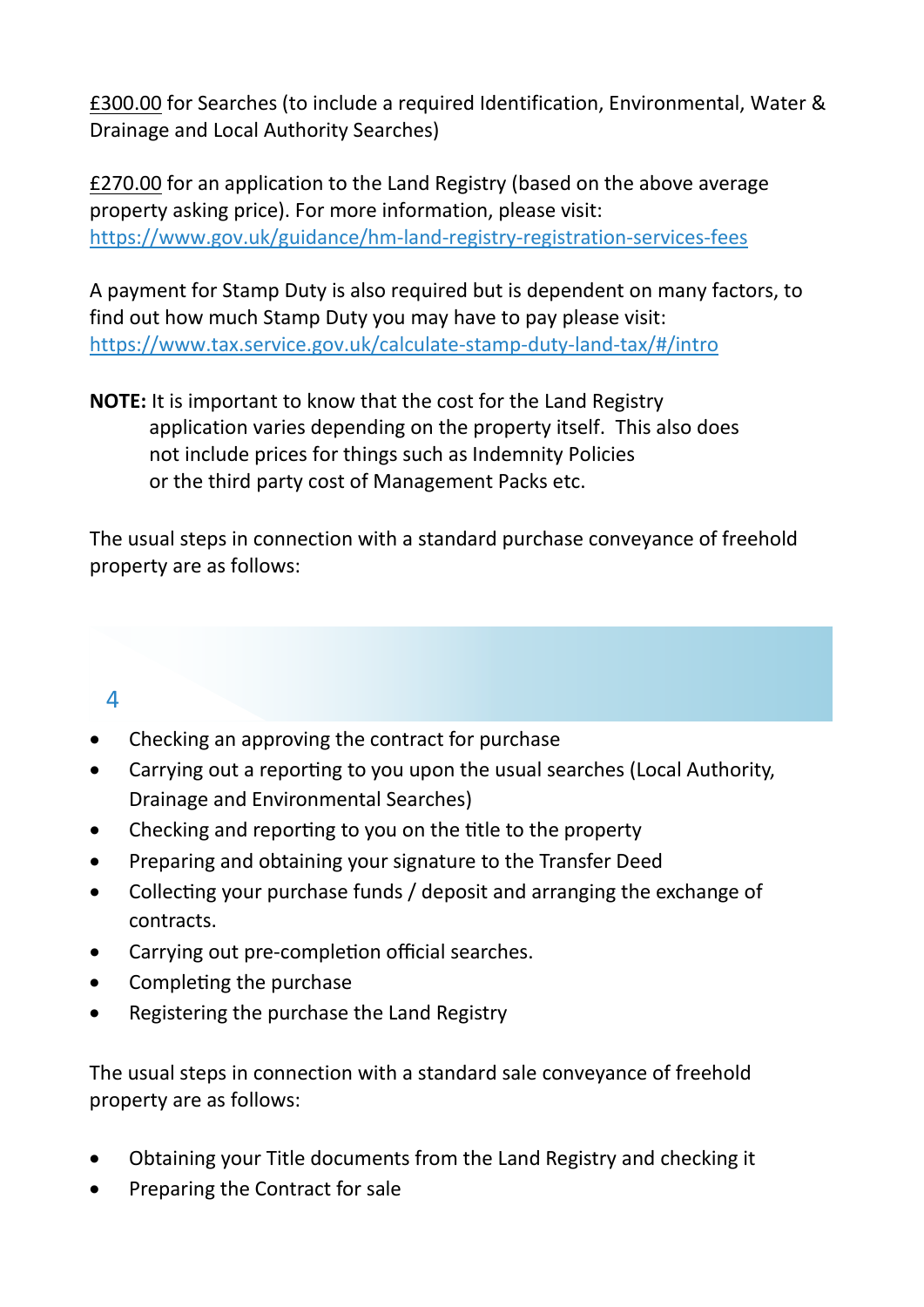£300.00 for Searches (to include a required Identification, Environmental, Water & Drainage and Local Authority Searches)

£270.00 for an application to the Land Registry (based on the above average property asking price). For more information, please visit: <https://www.gov.uk/guidance/hm-land-registry-registration-services-fees>

A payment for Stamp Duty is also required but is dependent on many factors, to find out how much Stamp Duty you may have to pay please visit: <https://www.tax.service.gov.uk/calculate-stamp-duty-land-tax/#/intro>

**NOTE:** It is important to know that the cost for the Land Registry application varies depending on the property itself. This also does not include prices for things such as Indemnity Policies or the third party cost of Management Packs etc.

The usual steps in connection with a standard purchase conveyance of freehold property are as follows:

#### $\Delta$

- Checking an approving the contract for purchase
- Carrying out a reporting to you upon the usual searches (Local Authority, Drainage and Environmental Searches)
- $\bullet$  Checking and reporting to you on the title to the property
- Preparing and obtaining your signature to the Transfer Deed
- Collecting your purchase funds / deposit and arranging the exchange of contracts.
- Carrying out pre-completion official searches.
- $\bullet$  Completing the purchase
- Registering the purchase the Land Registry

The usual steps in connection with a standard sale conveyance of freehold property are as follows:

- Obtaining your Title documents from the Land Registry and checking it
- Preparing the Contract for sale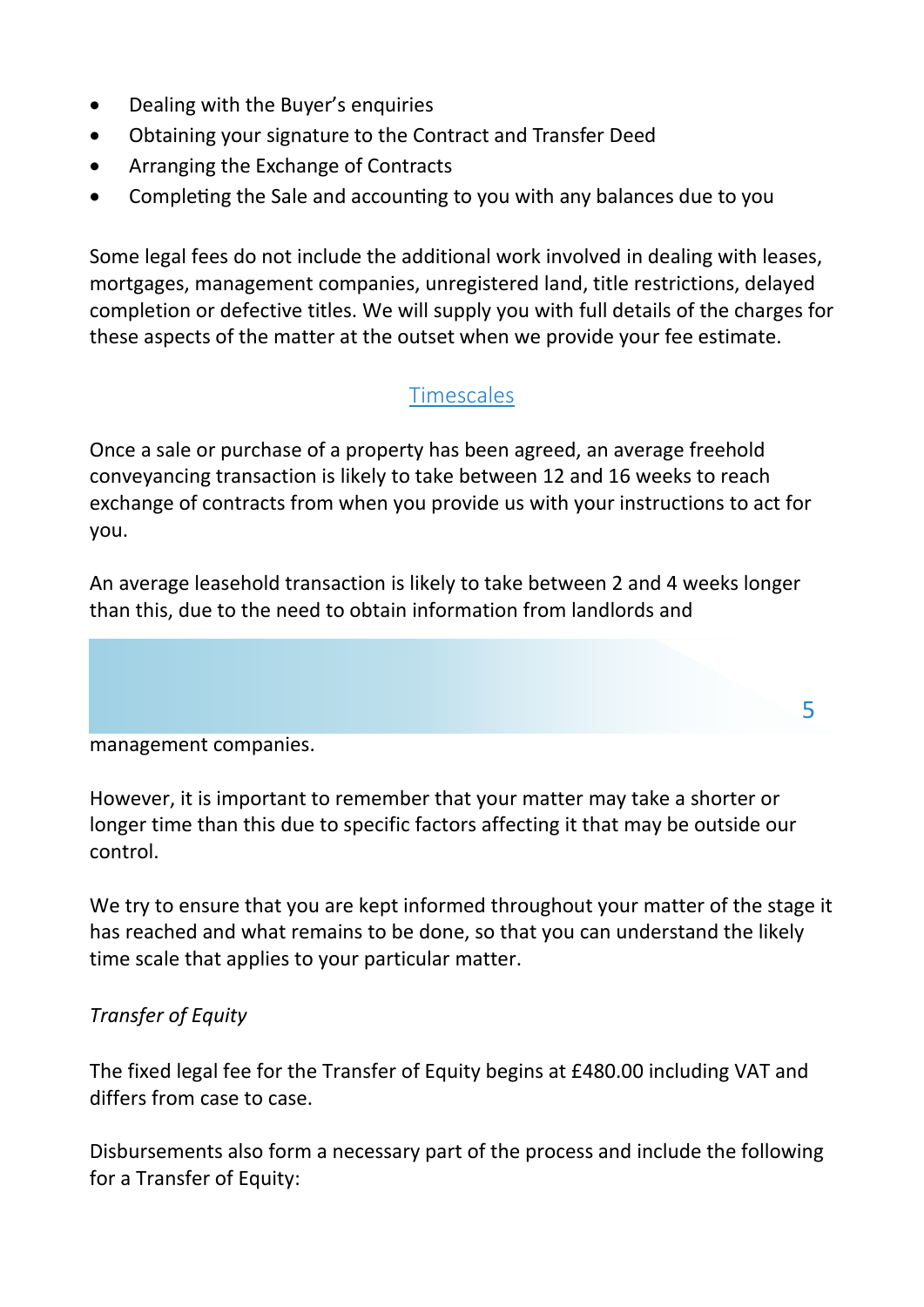- Dealing with the Buyer's enquiries
- Obtaining your signature to the Contract and Transfer Deed
- Arranging the Exchange of Contracts
- Completing the Sale and accounting to you with any balances due to you

Some legal fees do not include the additional work involved in dealing with leases, mortgages, management companies, unregistered land, title restrictions, delayed completion or defective titles. We will supply you with full details of the charges for these aspects of the matter at the outset when we provide your fee estimate.

### **Timescales**

Once a sale or purchase of a property has been agreed, an average freehold conveyancing transaction is likely to take between 12 and 16 weeks to reach exchange of contracts from when you provide us with your instructions to act for you.

An average leasehold transaction is likely to take between 2 and 4 weeks longer than this, due to the need to obtain information from landlords and

5

management companies.

However, it is important to remember that your matter may take a shorter or longer time than this due to specific factors affecting it that may be outside our control.

We try to ensure that you are kept informed throughout your matter of the stage it has reached and what remains to be done, so that you can understand the likely time scale that applies to your particular matter.

#### *Transfer of Equity*

The fixed legal fee for the Transfer of Equity begins at £480.00 including VAT and differs from case to case.

Disbursements also form a necessary part of the process and include the following for a Transfer of Equity: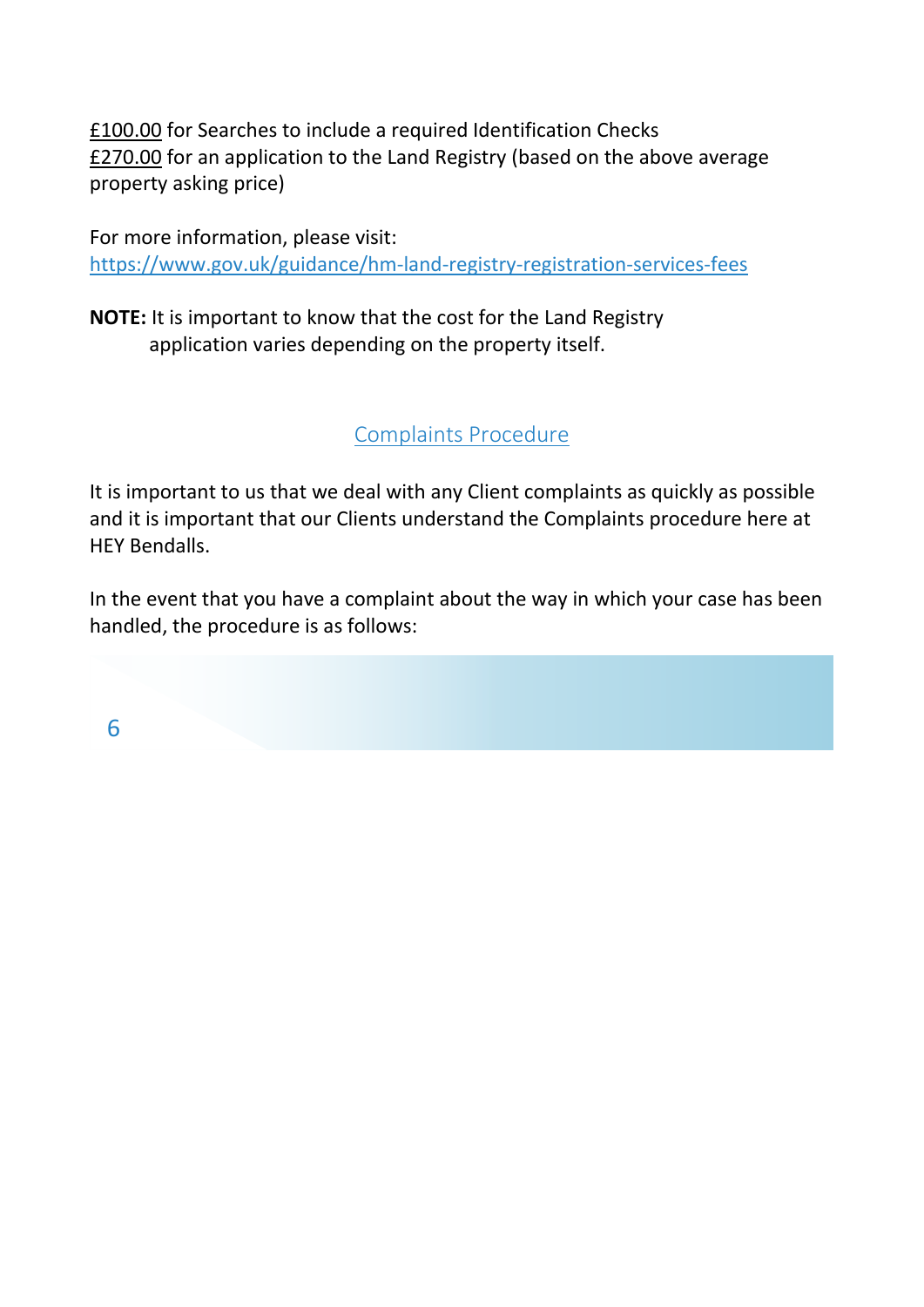£100.00 for Searches to include a required Identification Checks £270.00 for an application to the Land Registry (based on the above average property asking price)

For more information, please visit: <https://www.gov.uk/guidance/hm-land-registry-registration-services-fees>

**NOTE:** It is important to know that the cost for the Land Registry application varies depending on the property itself.

Complaints Procedure

It is important to us that we deal with any Client complaints as quickly as possible and it is important that our Clients understand the Complaints procedure here at HEY Bendalls.

In the event that you have a complaint about the way in which your case has been handled, the procedure is as follows:

6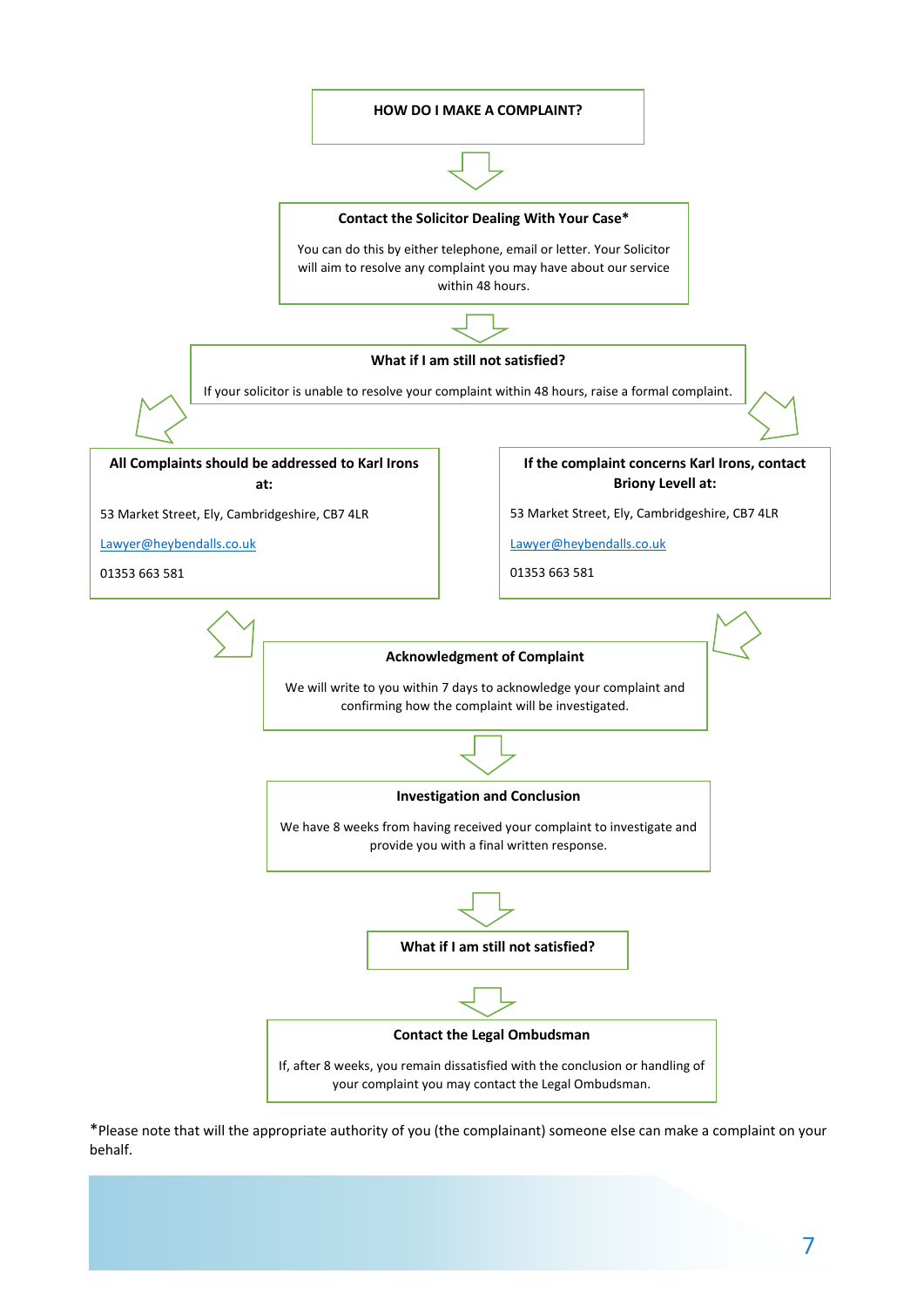

\*Please note that will the appropriate authority of you (the complainant) someone else can make a complaint on your behalf.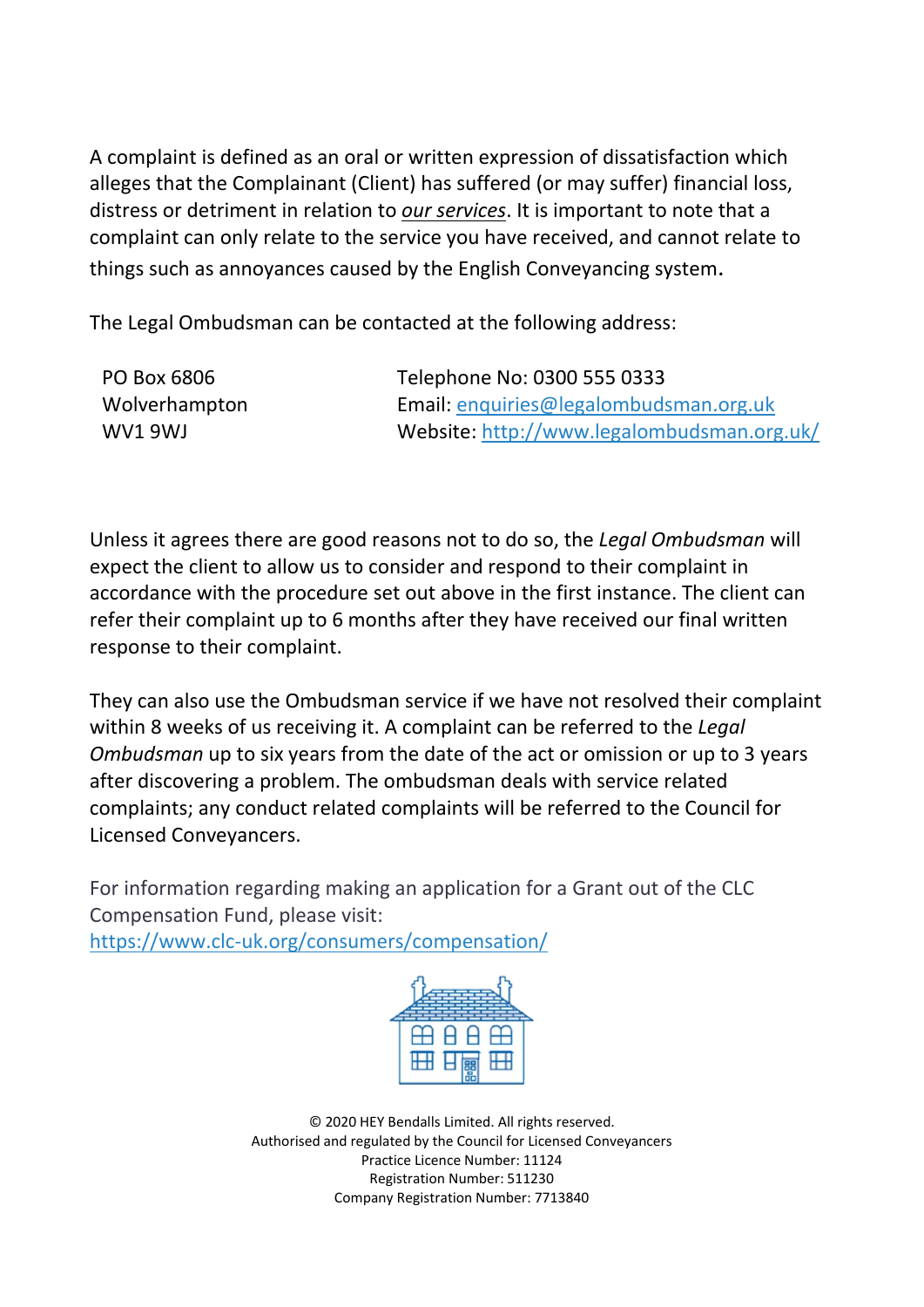A complaint is defined as an oral or written expression of dissatisfaction which alleges that the Complainant (Client) has suffered (or may suffer) financial loss, distress or detriment in relation to *our services*. It is important to note that a complaint can only relate to the service you have received, and cannot relate to things such as annoyances caused by the English Conveyancing system.

The Legal Ombudsman can be contacted at the following address:

| PO Box 6806   | Telephone No: 0300 555 0333                |
|---------------|--------------------------------------------|
| Wolverhampton | Email: enquiries@legalombudsman.org.uk     |
| WV1 9WJ       | Website: http://www.legalombudsman.org.uk/ |

Unless it agrees there are good reasons not to do so, the *Legal Ombudsman* will expect the client to allow us to consider and respond to their complaint in accordance with the procedure set out above in the first instance. The client can refer their complaint up to 6 months after they have received our final written response to their complaint.

They can also use the Ombudsman service if we have not resolved their complaint within 8 weeks of us receiving it. A complaint can be referred to the *Legal Ombudsman* up to six years from the date of the act or omission or up to 3 years after discovering a problem. The ombudsman deals with service related complaints; any conduct related complaints will be referred to the Council for Licensed Conveyancers.

For information regarding making an application for a Grant out of the CLC Compensation Fund, please visit:

<https://www.clc-uk.org/consumers/compensation/>



© 2020 HEY Bendalls Limited. All rights reserved. Authorised and regulated by the Council for Licensed Conveyancers Practice Licence Number: 11124 Registration Number: 511230 Company Registration Number: 7713840